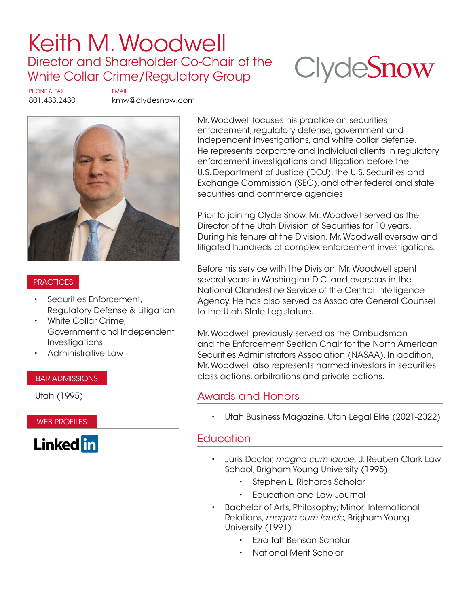# [Keith M. Woodwell](https://www.clydesnow.com/attorneys/56-keith-m-woodwell) Director and Shareholder Co-Chair of the White Collar Crime/Regulatory Group

# **Clyde[Snow](http://www.clydesnow.com)**

PHONE & FAX EMAIL

801.433.2430 kmw@clydesnow.com



#### **PRACTICES**

- Securities Enforcement, Regulatory Defense & Litigation
- White Collar Crime, Government and Independent Investigations
- Administrative Law

#### BAR ADMISSIONS

Utah (1995)

WEB PROFILES



Mr. Woodwell focuses his practice on securities enforcement, regulatory defense, government and independent investigations, and white collar defense. He represents corporate and individual clients in regulatory enforcement investigations and litigation before the U.S. Department of Justice (DOJ), the U.S. Securities and Exchange Commission (SEC), and other federal and state securities and commerce agencies.

Prior to joining Clyde Snow, Mr. Woodwell served as the Director of the Utah Division of Securities for 10 years. During his tenure at the Division, Mr. Woodwell oversaw and litigated hundreds of complex enforcement investigations.

Before his service with the Division, Mr. Woodwell spent several years in Washington D.C. and overseas in the National Clandestine Service of the Central Intelligence Agency. He has also served as Associate General Counsel to the Utah State Legislature.

Mr. Woodwell previously served as the Ombudsman and the Enforcement Section Chair for the North American Securities Administrators Association (NASAA). In addition, Mr. Woodwell also represents harmed investors in securities class actions, arbitrations and private actions.

## Awards and Honors

• Utah Business Magazine, Utah Legal Elite (2021-2022)

## **Education**

- Juris Doctor, magna cum laude, J. Reuben Clark Law School, Brigham Young University (1995)
	- Stephen L. Richards Scholar
	- Education and Law Journal
- Bachelor of Arts, Philosophy; Minor: International Relations, magna cum laude, Brigham Young University (1991)
	- Ezra Taft Benson Scholar
	- National Merit Scholar